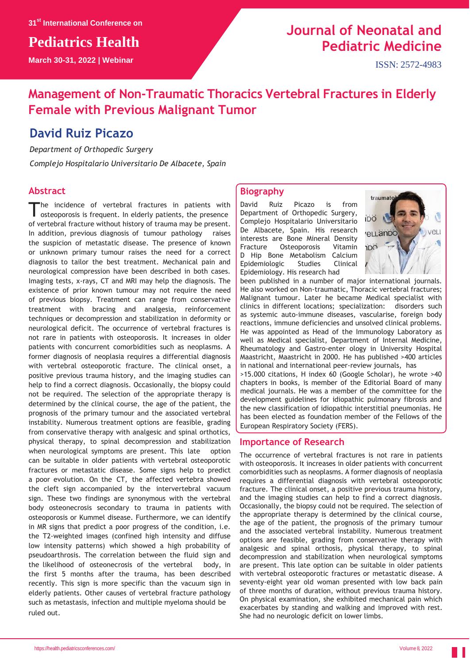**Pediatrics Health**

**March 30-31, 2022 | Webinar**

# **Journal of Neonatal and Pediatric Medicine**

ISSN: 2572-4983

## **Management of Non-Traumatic Thoracics Vertebral Fractures in Elderly Female with Previous Malignant Tumor**

### **David Ruiz Picazo**

*Department of Orthopedic Surgery Complejo Hospitalario Universitario De Albacete, Spain*

#### **Abstract**

The incidence of vertebral fractures in patients with osteoporosis is frequent. In elderly patients, the presence he incidence of vertebral fractures in patients with of vertebral fracture without history of trauma may be present. In addition, previous diagnosis of tumour pathology raises the suspicion of metastatic disease. The presence of known or unknown primary tumour raises the need for a correct diagnosis to tailor the best treatment. Mechanical pain and neurological compression have been described in both cases. Imaging tests, x-rays, CT and MRI may help the diagnosis. The existence of prior known tumour may not require the need of previous biopsy. Treatment can range from conservative treatment with bracing and analgesia, reinforcement techniques or decompression and stabilization in deformity or neurological deficit. The occurrence of vertebral fractures is not rare in patients with osteoporosis. It increases in older patients with concurrent comorbidities such as neoplasms. A former diagnosis of neoplasia requires a differential diagnosis with vertebral osteoporotic fracture. The clinical onset, a positive previous trauma history, and the imaging studies can help to find a correct diagnosis. Occasionally, the biopsy could not be required. The selection of the appropriate therapy is determined by the clinical course, the age of the patient, the prognosis of the primary tumour and the associated vertebral instability. Numerous treatment options are feasible, grading from conservative therapy with analgesic and spinal orthotics, physical therapy, to spinal decompression and stabilization when neurological symptoms are present. This late option can be suitable in older patients with vertebral osteoporotic fractures or metastatic disease. Some signs help to predict a poor evolution. On the CT, the affected vertebra showed the cleft sign accompanied by the intervertebral vacuum sign. These two findings are synonymous with the vertebral body osteonecrosis secondary to trauma in patients with osteoporosis or Kummel disease. Furthermore, we can identify in MR signs that predict a poor progress of the condition, i.e. the T2-weighted images (confined high intensity and diffuse low intensity patterns) which showed a high probability of pseudoarthrosis. The correlation between the fluid sign and the likelihood of osteonecrosis of the vertebral body, in the first 5 months after the trauma, has been described recently. This sign is more specific than the vacuum sign in elderly patients. Other causes of vertebral fracture pathology such as metastasis, infection and multiple myeloma should be ruled out.

#### **Biography**

David Ruiz Picazo is from Department of Orthopedic Surgery, Complejo Hospitalario Universitario De Albacete, Spain. His research interests are Bone Mineral Density Fracture Osteoporosis Vitamin D Hip Bone Metabolism Calcium Epidemiologic Studies Clinical Epidemiology. His research had



been published in a number of major international journals. He also worked on Non-traumatic, Thoracic vertebral fractures; Malignant tumour. Later he became Medical specialist with clinics in different locations; specialization: disorders such as systemic auto-immune diseases, vascularise, foreign body reactions, immune deficiencies and unsolved clinical problems. He was appointed as Head of the Immunology Laboratory as well as Medical specialist, Department of Internal Medicine, Rheumatology and Gastro-enter ology in University Hospital Maastricht, Maastricht in 2000. He has published >400 articles in national and international peer-review journals, has >15.000 citations, H index 60 (Google Scholar), he wrote >40 chapters in books, is member of the Editorial Board of many medical journals. He was a member of the committee for the development guidelines for idiopathic pulmonary fibrosis and the new classification of idiopathic interstitial pneumonias. He has been elected as foundation member of the Fellows of the European Respiratory Society (FERS).

#### **Importance of Research**

The occurrence of vertebral fractures is not rare in patients with osteoporosis. It increases in older patients with concurrent comorbidities such as neoplasms. A former diagnosis of neoplasia requires a differential diagnosis with vertebral osteoporotic fracture. The clinical onset, a positive previous trauma history, and the imaging studies can help to find a correct diagnosis. Occasionally, the biopsy could not be required. The selection of the appropriate therapy is determined by the clinical course, the age of the patient, the prognosis of the primary tumour and the associated vertebral instability. Numerous treatment options are feasible, grading from conservative therapy with analgesic and spinal orthosis, physical therapy, to spinal decompression and stabilization when neurological symptoms are present. This late option can be suitable in older patients with vertebral osteoporotic fractures or metastatic disease. A seventy-eight year old woman presented with low back pain of three months of duration, without previous trauma history. On physical examination, she exhibited mechanical pain which exacerbates by standing and walking and improved with rest. She had no neurologic deficit on lower limbs.